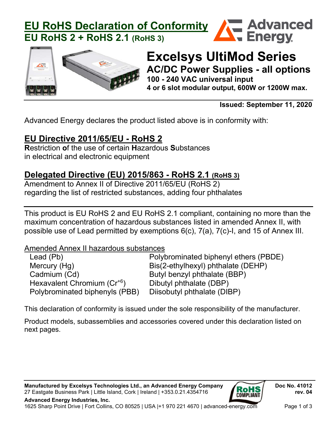



# **Excelsys UltiMod Series AC/DC Power Supplies - all options 100 - 240 VAC universal input**

**4 or 6 slot modular output, 600W or 1200W max.**

**Issued: September 11, 2020**

Advanced Energy declares the product listed above is in conformity with:

## **EU Directive 2011/65/EU - RoHS 2**

**R**estriction **o**f the use of certain **H**azardous **S**ubstances in electrical and electronic equipment

### **Delegated Directive (EU) 2015/863 - RoHS 2.1 (RoHS 3)**

Amendment to Annex II of Directive 2011/65/EU (RoHS 2) regarding the list of restricted substances, adding four phthalates

This product is EU RoHS 2 and EU RoHS 2.1 compliant, containing no more than the maximum concentration of hazardous substances listed in amended Annex II, with possible use of Lead permitted by exemptions 6(c), 7(a), 7(c)-I, and 15 of Annex III.

Amended Annex II hazardous substances

| Lead (Pb)                               | Polybrominated biphenyl ethers (PBDE) |
|-----------------------------------------|---------------------------------------|
| Mercury (Hg)                            | Bis(2-ethylhexyl) phthalate (DEHP)    |
| Cadmium (Cd)                            | Butyl benzyl phthalate (BBP)          |
| Hexavalent Chromium (Cr <sup>+6</sup> ) | Dibutyl phthalate (DBP)               |
| Polybrominated biphenyls (PBB)          | Diisobutyl phthalate (DIBP)           |

This declaration of conformity is issued under the sole responsibility of the manufacturer.

Product models, subassemblies and accessories covered under this declaration listed on next pages.

Manufactured by Excelsys Technologies Ltd., an Advanced Energy Company **Doc No. 41012** Doc No. 41012 27 Eastgate Business Park | Little Island, Cork | Ireland | +353.0.21.4354716 **rev. 04**

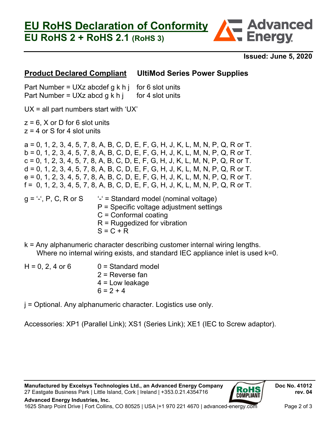## **EU RoHS 2 + RoHS 2.1 (RoHS 3)**



**Exploranced**<br>Energy

#### **Product Declared Compliant UltiMod Series Power Supplies**

Part Number = UXz abcdef g k h j for 6 slot units Part Number = UXz abcd g k h j for 4 slot units

 $UX = all part numbers start with 'UX'$ 

 $z = 6$ , X or D for 6 slot units  $z = 4$  or S for 4 slot units

a = 0, 1, 2, 3, 4, 5, 7, 8, A, B, C, D, E, F, G, H, J, K, L, M, N, P, Q, R or T. b = 0, 1, 2, 3, 4, 5, 7, 8, A, B, C, D, E, F, G, H, J, K, L, M, N, P, Q, R or T.  $c = 0, 1, 2, 3, 4, 5, 7, 8, A, B, C, D, E, F, G, H, J, K, L, M, N, P, Q, R$  or T.  $d = 0, 1, 2, 3, 4, 5, 7, 8, A, B, C, D, E, F, G, H, J, K, L, M, N, P, Q, R$  or T.  $e = 0, 1, 2, 3, 4, 5, 7, 8, A, B, C, D, E, F, G, H, J, K, L, M, N, P, Q, R$  or T.  $f = 0, 1, 2, 3, 4, 5, 7, 8, A, B, C, D, E, F, G, H, J, K, L, M, N, P, Q, R$  or T.  $q = -1$ ; P, C, R or S  $-1$  = Standard model (nominal voltage) P = Specific voltage adjustment settings C = Conformal coating

- R = Ruggedized for vibration
- $S = C + R$
- k = Any alphanumeric character describing customer internal wiring lengths. Where no internal wiring exists, and standard IEC appliance inlet is used k=0.

| $H = 0, 2, 4$ or 6 | $0 =$ Standard model |
|--------------------|----------------------|
|                    | $2$ = Reverse fan    |
|                    | $4 =$ Low leakage    |
|                    | $6 = 2 + 4$          |

j = Optional. Any alphanumeric character. Logistics use only.

Accessories: XP1 (Parallel Link); XS1 (Series Link); XE1 (IEC to Screw adaptor).